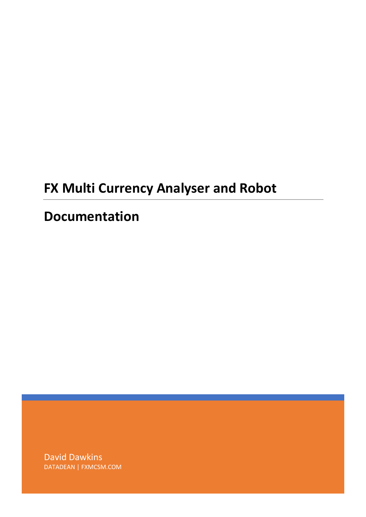# **FX Multi Currency Analyser and Robot**

## **Documentation**

David Dawkins DATADEAN | FXMCSM.COM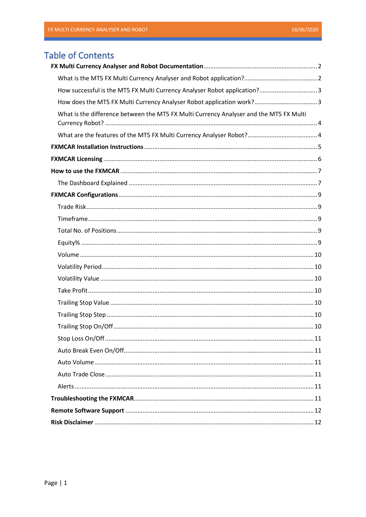## **Table of Contents**

| How successful is the MT5 FX Multi Currency Analyser Robot application?3               |  |
|----------------------------------------------------------------------------------------|--|
|                                                                                        |  |
| What is the difference between the MT5 FX Multi Currency Analyser and the MT5 FX Multi |  |
|                                                                                        |  |
|                                                                                        |  |
|                                                                                        |  |
|                                                                                        |  |
|                                                                                        |  |
|                                                                                        |  |
|                                                                                        |  |
|                                                                                        |  |
|                                                                                        |  |
|                                                                                        |  |
|                                                                                        |  |
|                                                                                        |  |
|                                                                                        |  |
|                                                                                        |  |
|                                                                                        |  |
|                                                                                        |  |
|                                                                                        |  |
|                                                                                        |  |
|                                                                                        |  |
|                                                                                        |  |
|                                                                                        |  |
|                                                                                        |  |
|                                                                                        |  |
|                                                                                        |  |
|                                                                                        |  |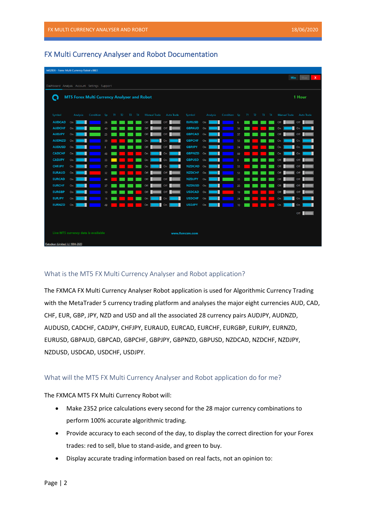| 6482806 - Forex Multi Currency Robot v3603  |            |          |                                                    |                |    |                |    |    |                     |                   |                                |          |          |              |                 |    |                |       |           |           |                     |                   |              |
|---------------------------------------------|------------|----------|----------------------------------------------------|----------------|----|----------------|----|----|---------------------|-------------------|--------------------------------|----------|----------|--------------|-----------------|----|----------------|-------|-----------|-----------|---------------------|-------------------|--------------|
|                                             |            |          |                                                    |                |    |                |    |    |                     |                   |                                |          |          |              |                 |    |                |       |           |           | Min                 | Max               | $\mathbf{x}$ |
| Dashboard Analysis Account Settings Support |            |          |                                                    |                |    |                |    |    |                     |                   |                                |          |          |              |                 |    |                |       |           |           |                     |                   |              |
|                                             |            |          |                                                    |                |    |                |    |    |                     |                   |                                |          |          |              |                 |    |                |       |           |           |                     |                   |              |
| Q                                           |            |          | <b>MT5 Forex Multi Currency Analyser and Robot</b> |                |    |                |    |    |                     |                   |                                |          |          |              |                 |    |                |       |           |           |                     | 1 Hour            |              |
|                                             |            |          |                                                    |                |    |                |    |    |                     |                   |                                |          |          |              |                 |    |                |       |           |           |                     |                   |              |
|                                             |            |          |                                                    |                |    |                |    |    |                     |                   |                                |          |          |              |                 |    |                |       |           |           |                     |                   |              |
| Symbol                                      |            | Analysis | Condition Sp                                       |                | T1 | T <sub>2</sub> | T3 | T4 | <b>Manual Trade</b> | <b>Auto Trade</b> | Symbol                         |          | Analysis | Condition Sp |                 | T1 | T <sub>2</sub> | $T_3$ | <b>T4</b> |           | <b>Manual Trade</b> | <b>Auto Trade</b> |              |
| <b>AUDCAD</b>                               | On         |          |                                                    | 26             |    |                |    |    | Off                 | Off               | <b>EURUSD</b>                  | On       |          |              | 6               |    |                |       |           | Off       |                     | Off               |              |
| <b>AUDCHF</b><br><b>AUDJPY</b>              | On<br>On   |          |                                                    | 40             |    |                |    |    | Off<br>Off          | Off<br>Off        | <b>GBPAUD</b><br><b>GBPCAD</b> | On<br>On |          |              | 59              |    |                |       |           | On<br>Off |                     | On<br>Off         |              |
| <b>AUDNZD</b>                               | On         |          |                                                    | 23             |    |                |    |    | O <sub>n</sub>      | On                | <b>GBPCHF</b>                  | On       |          |              | 57<br>53        |    |                |       |           | On        |                     | On                |              |
| <b>AUDUSD</b>                               | On         |          |                                                    | 39<br>$\bf{8}$ |    |                |    |    | Off                 | Off               | <b>GBPJPY</b>                  | On       |          |              | 24              |    |                |       |           | On        |                     | On                |              |
| <b>CADCHF</b>                               | $On \vert$ |          |                                                    | 48             |    |                |    |    | On                  | On                | GBPNZD On                      |          |          |              | 69              |    |                |       |           | On        |                     | On                |              |
| <b>CADJPY</b>                               | On         |          |                                                    | 33             |    |                |    |    | On                  | On                | GBPUSD On                      |          |          |              | 8               |    |                |       |           | Off       |                     | Off               |              |
| <b>CHFJPY</b>                               | On         |          |                                                    | 57             |    |                |    |    | On                  | On                | NZDCAD On                      |          |          |              | 33              |    |                |       |           | Off       |                     | Off               |              |
| <b>EURAUD</b>                               | On         |          |                                                    | 32             |    |                |    |    | Off                 | Off               | NZDCHF On                      |          |          |              | 53              |    |                |       |           | Off       |                     | Off               |              |
| <b>EURCAD</b>                               | On         |          |                                                    | 44             |    |                |    |    | Off                 | Off               | <b>NZDJPY</b>                  | On       |          |              | 35              |    |                |       |           | Off       |                     | Off               |              |
| <b>EURCHF</b>                               | On         |          |                                                    | 37             |    |                |    |    | Off                 | Off               | <b>NZDUSD</b>                  | On       |          |              | 20              |    |                |       |           | Off       |                     | Off               |              |
| <b>EURGBP</b>                               | $On \vert$ |          |                                                    | 10             |    |                |    |    | Off                 | Off               | USDCAD On                      |          |          |              | 19              |    |                |       |           | Off       |                     | Off               |              |
| <b>EURJPY</b>                               | On         |          |                                                    | 15             |    |                |    |    | O <sub>n</sub>      | On                | <b>USDCHF</b>                  | On       |          |              | 24              |    |                |       |           | On        |                     | On                |              |
| <b>EURNZD</b>                               | On         |          |                                                    | 49             |    |                |    |    | On                  | On                | <b>USDJPY</b>                  | On       |          |              | 10 <sup>°</sup> |    |                |       |           | On        |                     | On                |              |
|                                             |            |          |                                                    |                |    |                |    |    |                     |                   |                                |          |          |              |                 |    |                |       |           |           |                     |                   |              |
|                                             |            |          |                                                    |                |    |                |    |    |                     |                   |                                |          |          |              |                 |    |                |       |           |           |                     | Off               |              |
|                                             |            |          |                                                    |                |    |                |    |    |                     |                   |                                |          |          |              |                 |    |                |       |           |           |                     |                   |              |
|                                             |            |          |                                                    |                |    |                |    |    |                     |                   |                                |          |          |              |                 |    |                |       |           |           |                     |                   |              |
|                                             |            |          | Live MT5 currency data is available                |                |    |                |    |    |                     |                   | www.fxmcsm.com                 |          |          |              |                 |    |                |       |           |           |                     |                   |              |
| Datadean Limited (c) 1994-2020              |            |          |                                                    |                |    |                |    |    |                     |                   |                                |          |          |              |                 |    |                |       |           |           |                     |                   |              |

## <span id="page-2-0"></span>FX Multi Currency Analyser and Robot Documentation

## <span id="page-2-1"></span>What is the MT5 FX Multi Currency Analyser and Robot application?

The FXMCA FX Multi Currency Analyser Robot application is used for Algorithmic Currency Trading with the MetaTrader 5 currency trading platform and analyses the major eight currencies AUD, CAD, CHF, EUR, GBP, JPY, NZD and USD and all the associated 28 currency pairs AUDJPY, AUDNZD, AUDUSD, CADCHF, CADJPY, CHFJPY, EURAUD, EURCAD, EURCHF, EURGBP, EURJPY, EURNZD, EURUSD, GBPAUD, GBPCAD, GBPCHF, GBPJPY, GBPNZD, GBPUSD, NZDCAD, NZDCHF, NZDJPY, NZDUSD, USDCAD, USDCHF, USDJPY.

## What will the MT5 FX Multi Currency Analyser and Robot application do for me?

The FXMCA MT5 FX Multi Currency Robot will:

- Make 2352 price calculations every second for the 28 major currency combinations to perform 100% accurate algorithmic trading.
- Provide accuracy to each second of the day, to display the correct direction for your Forex trades: red to sell, blue to stand-aside, and green to buy.
- Display accurate trading information based on real facts, not an opinion to: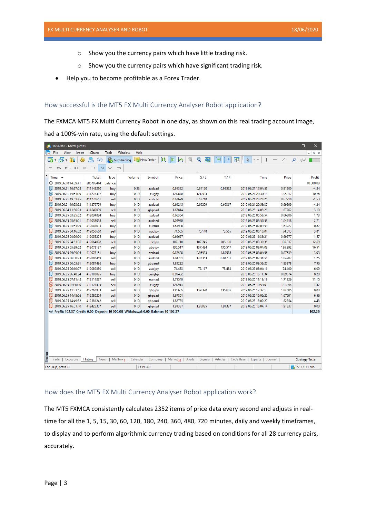- o Show you the currency pairs which have little trading risk.
- o Show you the currency pairs which have significant trading risk.
- Help you to become profitable as a Forex Trader.

## <span id="page-3-0"></span>How successful is the MT5 FX Multi Currency Analyser Robot application?

The FXMCA MT5 FX Multi Currency Robot in one day, as shown on this real trading account image,

had a 100%-win rate, using the default settings.

| <b>O.</b> 18249667 - MetaQuotes                                                      |                |              |                                 |               |                                         |             |          |                     |         | $\Box$<br>×            |
|--------------------------------------------------------------------------------------|----------------|--------------|---------------------------------|---------------|-----------------------------------------|-------------|----------|---------------------|---------|------------------------|
| File<br>View<br>Insert<br>اسا                                                        | Charts         | <b>Tools</b> | Window<br>Help                  |               |                                         |             |          |                     |         | $ E$ $\times$          |
| 연∸<br>同<br>唂<br>O<br>÷                                                               | 愚<br>$(\circ)$ |              | AutoTrading                     | New Order     | JH.<br> 00 <br>⊵                        | Q<br>Q<br>噩 | H÷       | 陌<br>Ą              |         | ₽<br>62                |
| H1<br>M15 M30<br>M1<br>M <sub>5</sub>                                                | H4<br>D1       | W1           | MN                              |               |                                         |             |          |                     |         |                        |
| $\pmb{\times}$                                                                       |                |              |                                 |               |                                         |             |          |                     |         |                        |
| Time $\triangle$                                                                     | <b>Ticket</b>  | Type         | Volume                          | Symbol        | Price                                   | S/L         | T/P      | <b>Time</b>         | Price   | Profit                 |
| ⊕ 2019.06.18 14:09:41                                                                | 385705444      | balance      |                                 |               |                                         |             |          |                     |         | 10 000,00              |
| 2019.06.21 16:57:08                                                                  | 411143250      | buy          | 0.33                            | audcad        | 0.91322                                 | 0.91170     | 0.93322  | 2019.06.21 17:04:55 | 0.91300 | $-4.34$                |
| 2019.06.21 19:51:29                                                                  | 411278397      | buy          | 0.10                            | eurjpy        | 121.870                                 | 121.934     |          | 2019.06.21 20:30:18 | 122.017 | 10.76                  |
| 2019.06.21 19:51:45                                                                  | 411278661      | sell         | 0.10                            | audchf        | 0.67699                                 | 0.67718     |          | 2019.06.21 20:28:26 | 0.67718 | $-1.53$                |
| 2019.06.21 19:53:52                                                                  | 411279779      | buy          | 0.10                            | audusd        | 0.69245                                 | 0.69299     | 0.69367  | 2019.06.21 20:58:37 | 0.69299 | 4.24                   |
| 2019.06.24 11:56:23                                                                  | 411649009      | sell         | 0.10                            | gbpcad        | 1.67814                                 |             |          | 2019.06.25 14:05:26 | 1.67762 | 3.10                   |
| 2019.06.25 03:25:02                                                                  | 412034834      | buy          | 0.10                            | nzdusd        | 0.66364                                 |             |          | 2019.06.25 05:58:54 | 0.66386 | 1.73                   |
| 2019.06.25 03:35:01                                                                  | 412038098      | sell         | 0.10                            | audnzd        | 1.04970                                 |             |          | 2019.06.25 03:57:58 | 1.04918 | 2.71                   |
| 2019.06.25 03:53:29                                                                  | 412043035      | buy          | 0.10                            | euraud        | 1.63906                                 |             |          | 2019.06.25 07:03:58 | 1.63922 | 0.87                   |
| 2019.06.25 04:16:02                                                                  | 412050660      | sell         | 0.10                            | audjpy        | 74.565                                  | 75.148      | 73.565   | 2019.06.25 06:10:04 | 74.513  | 3.81                   |
| ß<br>2019.06.25 04:29:00                                                             | 412055225      | buy          | 0.10                            | audusd        | 0.69657                                 |             |          | 2019.06.25 16:38:21 | 0.69677 | 1.57                   |
| 2019.06.25 04:53:06                                                                  | 412064028      | sell         | 0.10                            | usdjpy        | 107.110                                 | 107.745     | 106.110  | 2019.06.25 08:30:35 | 106.937 | 12.69                  |
| 2019.06.25 05:39:02                                                                  | 412078137      | sell         | 0.10                            | gbpjpy        | 136.517                                 | 137.424     | 135.517  | 2019.06.25 08:04:03 | 136.292 | 16.51                  |
| ß<br>2019.06.25 05:39:06                                                             | 412078151      | buy          | 0.10                            | nzdcad        | 0.87588                                 | 0.86983     | 1.87588  | 2019.06.25 08:04:56 | 0.87639 | 3.03                   |
| 2019.06.25 06:00:23                                                                  | 412086459      | sell         | 0.10                            | audnzd        | 1.04731                                 | 1.05353     | 0.04731  | 2019.06.25 07:31:51 | 1.04707 | 1.25                   |
| ß<br>2019.06.25 06:03:21                                                             | 412087436      | buy          | 0.10                            | gbpaud        | 1.83232                                 |             |          | 2019.06.25 09:53:27 | 1.83378 | 7.96                   |
| 2019.06.25 06:10:07                                                                  | 412089830      | sell         | 0.10                            | audjpy        | 74.483                                  | 75.167      | 73.483   | 2019.06.25 08:04:16 | 74.400  | 6.09                   |
| ſF.<br>2019.06.25 06:48:24                                                           | 412103075      | buy          | 0.10                            | eurgbp        | 0.89492                                 |             |          | 2019.06.25 16:11:34 | 0.89574 | 8.20                   |
| 2019.06.25 07:11:48                                                                  | 412114327      | sell         | 0.10                            | eurnzd        | 1.71540                                 |             |          | 2019.06.25 11:13:19 | 1.71326 | 11.15                  |
| 2019.06.25 07:30:10                                                                  | 412123405      | sell         | 0.10                            | eurjpy        | 121.914                                 |             |          | 2019.06.25 10:53:03 | 121.894 | 1.47                   |
| 2019.06.25 11:33:55                                                                  | 412268933      | sell         | 0.10                            | gbpjpy        | 136.605                                 | 139.320     | 136.605  | 2019.06.25 12:32:10 | 136.605 | 0.00                   |
| 2019.06.25 14:48:06                                                                  | 412380229      | sell         | 0.10                            | qbpcad        | 1.67801                                 |             |          | 2019.06.25 15:02:29 | 1.67691 | 6.56                   |
| 2019.06.25 14:49:52                                                                  | 412381242      | sell         | 0.10                            | gbpaud        | 1.82735                                 |             |          | 2019.06.25 15:02:29 | 1.82654 | 4.43                   |
| 2019.06.25 16:01:10                                                                  | 412425307      | sell         | 0.10                            | gbpnzd        | 1.91337                                 | 1.95035     | 1.91337  | 2019.06.25 16:04:14 | 1.91337 | 0.00                   |
| ⊕ Profit: 102.37 Credit: 0.00 Deposit: 10 000.00 Withdrawal: 0.00 Balance: 10 102.37 |                |              |                                 |               |                                         |             |          |                     |         | 102.26                 |
|                                                                                      |                |              |                                 |               |                                         |             |          |                     |         |                        |
| Toolbox                                                                              | News           |              |                                 |               |                                         |             |          | Code Base           |         |                        |
| Exposure<br>Trade                                                                    | History        |              | Mailbox <sub>7</sub>   Calendar |               | Company   Market <sub>26</sub>   Alerts | Signals     | Articles | Experts             | Journal | <b>Strategy Tester</b> |
| For Help, press F1                                                                   |                |              |                                 | <b>FXMCAR</b> |                                         |             |          |                     |         | 77.7 / 0.1 Mb          |

## <span id="page-3-1"></span>How does the MT5 FX Multi Currency Analyser Robot application work?

The MT5 FXMCA consistently calculates 2352 items of price data every second and adjusts in realtime for all the 1, 5, 15, 30, 60, 120, 180, 240, 360, 480, 720 minutes, daily and weekly timeframes, to display and to perform algorithmic currency trading based on conditions for all 28 currency pairs, accurately.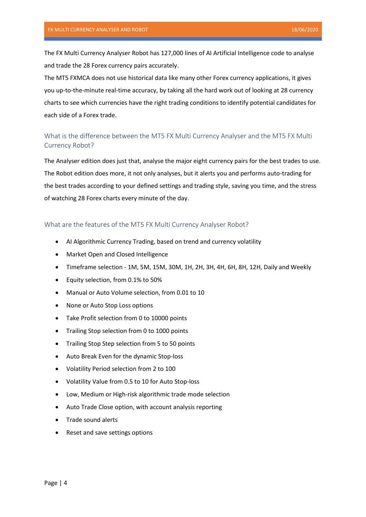The FX Multi Currency Analyser Robot has 127,000 lines of AI Artificial Intelligence code to analyse and trade the 28 Forex currency pairs accurately.

The MT5 FXMCA does not use historical data like many other Forex currency applications, it gives you up-to-the-minute real-time accuracy, by taking all the hard work out of looking at 28 currency charts to see which currencies have the right trading conditions to identify potential candidates for each side of a Forex trade.

## <span id="page-4-0"></span>What is the difference between the MT5 FX Multi Currency Analyser and the MT5 FX Multi Currency Robot?

The Analyser edition does just that, analyse the major eight currency pairs for the best trades to use. The Robot edition does more, it not only analyses, but it alerts you and performs auto-trading for the best trades according to your defined settings and trading style, saving you time, and the stress of watching 28 Forex charts every minute of the day.

## <span id="page-4-1"></span>What are the features of the MT5 FX Multi Currency Analyser Robot?

- AI Algorithmic Currency Trading, based on trend and currency volatility
- Market Open and Closed Intelligence
- Timeframe selection 1M, 5M, 15M, 30M, 1H, 2H, 3H, 4H, 6H, 8H, 12H, Daily and Weekly
- Equity selection, from 0.1% to 50%
- Manual or Auto Volume selection, from 0.01 to 10
- None or Auto Stop Loss options
- Take Profit selection from 0 to 10000 points
- Trailing Stop selection from 0 to 1000 points
- Trailing Stop Step selection from 5 to 50 points
- Auto Break Even for the dynamic Stop-loss
- Volatility Period selection from 2 to 100
- Volatility Value from 0.5 to 10 for Auto Stop-loss
- Low, Medium or High-risk algorithmic trade mode selection
- Auto Trade Close option, with account analysis reporting
- Trade sound alerts
- Reset and save settings options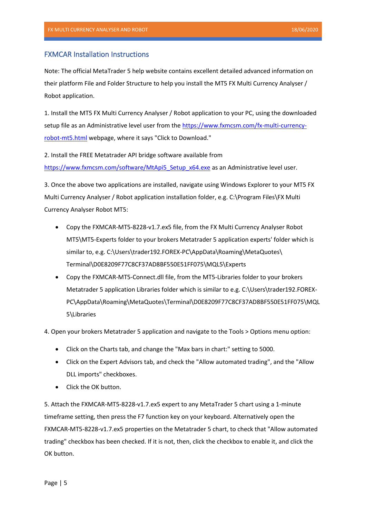## <span id="page-5-0"></span>FXMCAR Installation Instructions

Note: The official MetaTrader 5 help website contains excellent detailed advanced information on their platform File and Folder Structure to help you install the MT5 FX Multi Currency Analyser / Robot application.

1. Install the MT5 FX Multi Currency Analyser / Robot application to your PC, using the downloaded setup file as an Administrative level user from th[e https://www.fxmcsm.com/fx-multi-currency](https://www.fxmcsm.com/fx-multi-currency-robot-mt5.html)[robot-mt5.html](https://www.fxmcsm.com/fx-multi-currency-robot-mt5.html) webpage, where it says "Click to Download."

2. Install the FREE Metatrader API bridge software available from [https://www.fxmcsm.com/software/MtApi5\\_Setup\\_x64.exe](https://www.fxmcsm.com/software/MtApi5_Setup_x64.exe) as an Administrative level user.

3. Once the above two applications are installed, navigate using Windows Explorer to your MT5 FX Multi Currency Analyser / Robot application installation folder, e.g. C:\Program Files\FX Multi Currency Analyser Robot MT5:

- Copy the FXMCAR-MT5-8228-v1.7.ex5 file, from the FX Multi Currency Analyser Robot MT5\MT5-Experts folder to your brokers Metatrader 5 application experts' folder which is similar to, e.g. C:\Users\trader192.FOREX-PC\AppData\Roaming\MetaQuotes\ Terminal\D0E8209F77C8CF37AD8BF550E51FF075\MQL5\Experts
- Copy the FXMCAR-MT5-Connect.dll file, from the MT5-Libraries folder to your brokers Metatrader 5 application Libraries folder which is similar to e.g. C:\Users\trader192.FOREX-PC\AppData\Roaming\MetaQuotes\Terminal\D0E8209F77C8CF37AD8BF550E51FF075\MQL 5\Libraries

4. Open your brokers Metatrader 5 application and navigate to the Tools > Options menu option:

- Click on the Charts tab, and change the "Max bars in chart:" setting to 5000.
- Click on the Expert Advisors tab, and check the "Allow automated trading", and the "Allow DLL imports" checkboxes.
- Click the OK button.

5. Attach the FXMCAR-MT5-8228-v1.7.ex5 expert to any MetaTrader 5 chart using a 1-minute timeframe setting, then press the F7 function key on your keyboard. Alternatively open the FXMCAR-MT5-8228-v1.7.ex5 properties on the Metatrader 5 chart, to check that "Allow automated trading" checkbox has been checked. If it is not, then, click the checkbox to enable it, and click the OK button.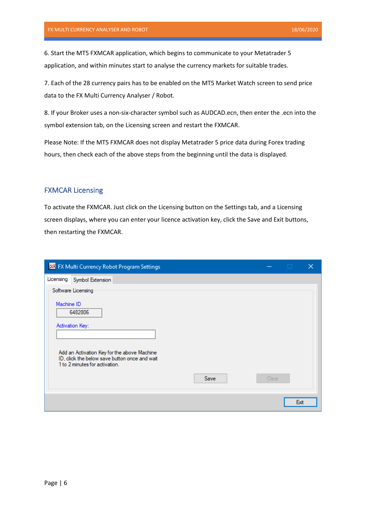6. Start the MT5 FXMCAR application, which begins to communicate to your Metatrader 5 application, and within minutes start to analyse the currency markets for suitable trades.

7. Each of the 28 currency pairs has to be enabled on the MT5 Market Watch screen to send price data to the FX Multi Currency Analyser / Robot.

8. If your Broker uses a non-six-character symbol such as AUDCAD.ecn, then enter the .ecn into the symbol extension tab, on the Licensing screen and restart the FXMCAR.

Please Note: If the MT5 FXMCAR does not display Metatrader 5 price data during Forex trading hours, then check each of the above steps from the beginning until the data is displayed.

## <span id="page-6-0"></span>FXMCAR Licensing

To activate the FXMCAR. Just click on the Licensing button on the Settings tab, and a Licensing screen displays, where you can enter your licence activation key, click the Save and Exit buttons, then restarting the FXMCAR.

|            | <b>整</b> FX Multi Currency Robot Program Settings                                                                              | П     |      |
|------------|--------------------------------------------------------------------------------------------------------------------------------|-------|------|
| Licensing  | Symbol Extension                                                                                                               |       |      |
|            | Software Licensing                                                                                                             |       |      |
| Machine ID | 6482806<br>Activation Key:                                                                                                     |       |      |
|            | Add an Activation Key for the above Machine<br>ID, click the below save button once and wait<br>1 to 2 minutes for activation. |       |      |
|            | Save                                                                                                                           | Clear |      |
|            |                                                                                                                                |       | Exit |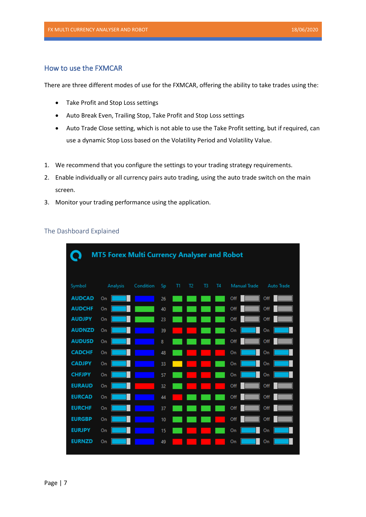## <span id="page-7-0"></span>How to use the FXMCAR

There are three different modes of use for the FXMCAR, offering the ability to take trades using the:

- Take Profit and Stop Loss settings
- Auto Break Even, Trailing Stop, Take Profit and Stop Loss settings
- Auto Trade Close setting, which is not able to use the Take Profit setting, but if required, can use a dynamic Stop Loss based on the Volatility Period and Volatility Value.
- 1. We recommend that you configure the settings to your trading strategy requirements.
- 2. Enable individually or all currency pairs auto trading, using the auto trade switch on the main screen.
- 3. Monitor your trading performance using the application.

|               | <b>MT5 Forex Multi Currency Analyser and Robot</b> |           |    |               |                |                |                |              |            |
|---------------|----------------------------------------------------|-----------|----|---------------|----------------|----------------|----------------|--------------|------------|
| Symbol        | Analysis                                           | Condition | Sp | $^{\text{m}}$ | T <sub>2</sub> | T <sub>3</sub> | T <sub>4</sub> | Manual Trade | Auto Trade |
| <b>AUDCAD</b> | On                                                 |           | 26 |               |                |                |                | Off          | Off        |
| <b>AUDCHF</b> | On                                                 |           | 40 |               |                |                |                | Off          | Off        |
| <b>AUDJPY</b> | On                                                 |           | 23 |               |                |                |                | Off          | Off        |
| <b>AUDNZD</b> | On                                                 |           | 39 |               |                |                |                | On           | On         |
| <b>AUDUSD</b> | On                                                 |           | 8  |               |                |                |                | Off          | Off        |
| <b>CADCHF</b> | On                                                 |           | 48 |               |                |                |                | On           | On         |
| <b>CADJPY</b> | On                                                 |           | 33 |               |                |                |                | On           | On         |
| <b>CHFJPY</b> | On                                                 |           | 57 |               |                |                |                | On           | On         |
| <b>EURAUD</b> | On                                                 |           | 32 |               |                |                |                | Off          | Off        |
| <b>EURCAD</b> | On                                                 |           | 44 |               |                |                |                | Off          | Off        |
| <b>EURCHF</b> | On                                                 |           | 37 |               |                |                |                | Off          | Off        |
| <b>EURGBP</b> | On                                                 |           | 10 |               |                |                |                | Off          | Off        |
| <b>EURJPY</b> | On                                                 |           | 15 |               |                |                |                | On           | On         |
| <b>EURNZD</b> | On                                                 |           | 49 |               |                |                |                | On           | On         |
|               |                                                    |           |    |               |                |                |                |              |            |

## <span id="page-7-1"></span>The Dashboard Explained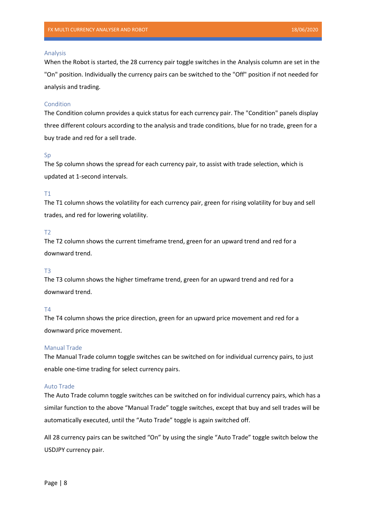#### Analysis

When the Robot is started, the 28 currency pair toggle switches in the Analysis column are set in the "On" position. Individually the currency pairs can be switched to the "Off" position if not needed for analysis and trading.

## Condition

The Condition column provides a quick status for each currency pair. The "Condition" panels display three different colours according to the analysis and trade conditions, blue for no trade, green for a buy trade and red for a sell trade.

#### Sp

The Sp column shows the spread for each currency pair, to assist with trade selection, which is updated at 1-second intervals.

## T1

The T1 column shows the volatility for each currency pair, green for rising volatility for buy and sell trades, and red for lowering volatility.

#### T2

The T2 column shows the current timeframe trend, green for an upward trend and red for a downward trend.

## T3

The T3 column shows the higher timeframe trend, green for an upward trend and red for a downward trend.

## T4

The T4 column shows the price direction, green for an upward price movement and red for a downward price movement.

## Manual Trade

The Manual Trade column toggle switches can be switched on for individual currency pairs, to just enable one-time trading for select currency pairs.

#### Auto Trade

The Auto Trade column toggle switches can be switched on for individual currency pairs, which has a similar function to the above "Manual Trade" toggle switches, except that buy and sell trades will be automatically executed, until the "Auto Trade" toggle is again switched off.

All 28 currency pairs can be switched "On" by using the single "Auto Trade" toggle switch below the USDJPY currency pair.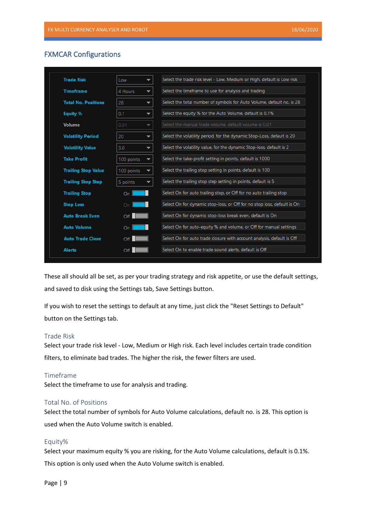## <span id="page-9-0"></span>FXMCAR Configurations

| <b>Trade Risk</b>          | Low        |                          | Select the trade risk level - Low, Medium or High, default is Low risk  |
|----------------------------|------------|--------------------------|-------------------------------------------------------------------------|
| <b>Timeframe</b>           | 4 Hours    | $\overline{\phantom{a}}$ | Select the timeframe to use for analysis and trading                    |
| <b>Total No. Positions</b> | 28         | $\overline{\phantom{a}}$ | Select the total number of symbols for Auto Volume, default no. is 28   |
| Equity %                   | 0.1        | $\overline{\phantom{a}}$ | Select the equity % for the Auto Volume, default is 0.1%                |
| <b>Volume</b>              | 0.01       | ▼                        | Select the manual trade volume, default volume is 0.01                  |
| <b>Volatility Period</b>   | 20         | $\overline{\phantom{0}}$ | Select the volatility period, for the dynamic Stop-Loss, default is 20  |
| <b>Volatility Value</b>    | 3.0        | $\overline{\phantom{a}}$ | Select the volatility value, for the dynamic Stop-loss, default is 2    |
| <b>Take Profit</b>         | 100 points | ▼                        | Select the take-profit setting in points, default is 1000               |
| <b>Trailing Stop Value</b> | 100 points | ▼                        | Select the trailing stop setting in points, default is 100              |
| <b>Trailing Stop Step</b>  | 5 points   |                          | Select the trailing stop step setting in points, default is 5           |
| <b>Trailing Stop</b>       | On         |                          | Select On for auto trailing stop, or Off for no auto trailing stop      |
| <b>Stop Loss</b>           | On         |                          | Select On for dynamic stop-loss, or Off for no stop loss, default is On |
| <b>Auto Break Even</b>     | Off        |                          | Select On for dynamic stop-loss break even, default is On               |
| <b>Auto Volume</b>         | On         |                          | Select On for auto-equity % and volume, or Off for manual settings      |
| <b>Auto Trade Close</b>    | Off        |                          | Select On for auto trade closure with account analysis, default is Off  |
| <b>Alerts</b>              | Off        |                          | Select On to enable trade sound alerts, default is Off                  |

These all should all be set, as per your trading strategy and risk appetite, or use the default settings, and saved to disk using the Settings tab, Save Settings button.

If you wish to reset the settings to default at any time, just click the "Reset Settings to Default" button on the Settings tab.

## <span id="page-9-1"></span>Trade Risk

Select your trade risk level - Low, Medium or High risk. Each level includes certain trade condition filters, to eliminate bad trades. The higher the risk, the fewer filters are used.

## <span id="page-9-2"></span>Timeframe

Select the timeframe to use for analysis and trading.

## <span id="page-9-3"></span>Total No. of Positions

Select the total number of symbols for Auto Volume calculations, default no. is 28. This option is used when the Auto Volume switch is enabled.

## <span id="page-9-4"></span>Equity%

Select your maximum equity % you are risking, for the Auto Volume calculations, default is 0.1%. This option is only used when the Auto Volume switch is enabled.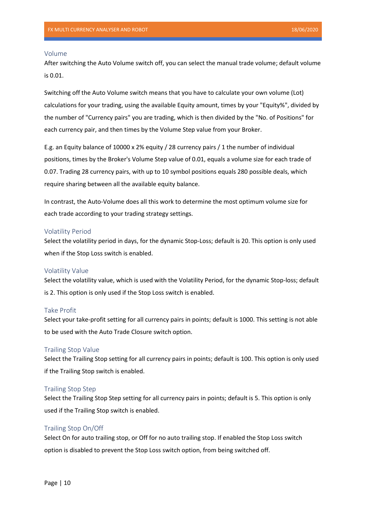#### <span id="page-10-0"></span>Volume

After switching the Auto Volume switch off, you can select the manual trade volume; default volume is 0.01.

Switching off the Auto Volume switch means that you have to calculate your own volume (Lot) calculations for your trading, using the available Equity amount, times by your "Equity%", divided by the number of "Currency pairs" you are trading, which is then divided by the "No. of Positions" for each currency pair, and then times by the Volume Step value from your Broker.

E.g. an Equity balance of 10000 x 2% equity / 28 currency pairs / 1 the number of individual positions, times by the Broker's Volume Step value of 0.01, equals a volume size for each trade of 0.07. Trading 28 currency pairs, with up to 10 symbol positions equals 280 possible deals, which require sharing between all the available equity balance.

In contrast, the Auto-Volume does all this work to determine the most optimum volume size for each trade according to your trading strategy settings.

## <span id="page-10-1"></span>Volatility Period

Select the volatility period in days, for the dynamic Stop-Loss; default is 20. This option is only used when if the Stop Loss switch is enabled.

#### <span id="page-10-2"></span>Volatility Value

Select the volatility value, which is used with the Volatility Period, for the dynamic Stop-loss; default is 2. This option is only used if the Stop Loss switch is enabled.

## <span id="page-10-3"></span>Take Profit

Select your take-profit setting for all currency pairs in points; default is 1000. This setting is not able to be used with the Auto Trade Closure switch option.

## <span id="page-10-4"></span>Trailing Stop Value

Select the Trailing Stop setting for all currency pairs in points; default is 100. This option is only used if the Trailing Stop switch is enabled.

## <span id="page-10-5"></span>Trailing Stop Step

Select the Trailing Stop Step setting for all currency pairs in points; default is 5. This option is only used if the Trailing Stop switch is enabled.

## <span id="page-10-6"></span>Trailing Stop On/Off

Select On for auto trailing stop, or Off for no auto trailing stop. If enabled the Stop Loss switch option is disabled to prevent the Stop Loss switch option, from being switched off.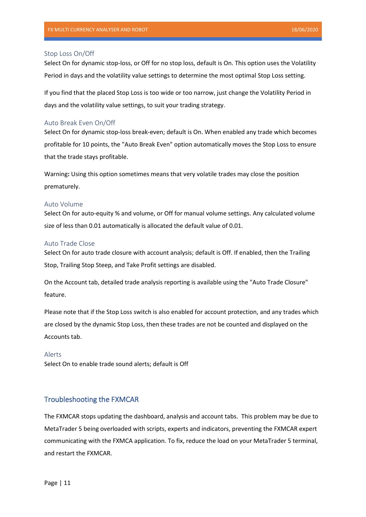### <span id="page-11-0"></span>Stop Loss On/Off

Select On for dynamic stop-loss, or Off for no stop loss, default is On. This option uses the Volatility Period in days and the volatility value settings to determine the most optimal Stop Loss setting.

If you find that the placed Stop Loss is too wide or too narrow, just change the Volatility Period in days and the volatility value settings, to suit your trading strategy.

### <span id="page-11-1"></span>Auto Break Even On/Off

Select On for dynamic stop-loss break-even; default is On. When enabled any trade which becomes profitable for 10 points, the "Auto Break Even" option automatically moves the Stop Loss to ensure that the trade stays profitable.

Warning**:** Using this option sometimes means that very volatile trades may close the position prematurely.

#### <span id="page-11-2"></span>Auto Volume

Select On for auto-equity % and volume, or Off for manual volume settings. Any calculated volume size of less than 0.01 automatically is allocated the default value of 0.01.

#### <span id="page-11-3"></span>Auto Trade Close

Select On for auto trade closure with account analysis; default is Off. If enabled, then the Trailing Stop, Trailing Stop Steep, and Take Profit settings are disabled.

On the Account tab, detailed trade analysis reporting is available using the "Auto Trade Closure" feature.

Please note that if the Stop Loss switch is also enabled for account protection, and any trades which are closed by the dynamic Stop Loss, then these trades are not be counted and displayed on the Accounts tab.

## <span id="page-11-4"></span>Alerts

Select On to enable trade sound alerts; default is Off

## <span id="page-11-5"></span>Troubleshooting the FXMCAR

The FXMCAR stops updating the dashboard, analysis and account tabs. This problem may be due to MetaTrader 5 being overloaded with scripts, experts and indicators, preventing the FXMCAR expert communicating with the FXMCA application. To fix, reduce the load on your MetaTrader 5 terminal, and restart the FXMCAR.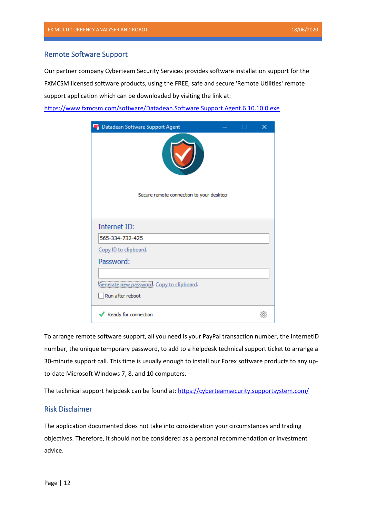## <span id="page-12-0"></span>Remote Software Support

Our partner company Cyberteam Security Services provides software installation support for the FXMCSM licensed software products, using the FREE, safe and secure 'Remote Utilities' remote support application which can be downloaded by visiting the link at:

<https://www.fxmcsm.com/software/Datadean.Software.Support.Agent.6.10.10.0.exe>



To arrange remote software support, all you need is your PayPal transaction number, the InternetID number, the unique temporary password, to add to a helpdesk technical support ticket to arrange a 30-minute support call. This time is usually enough to install our Forex software products to any upto-date Microsoft Windows 7, 8, and 10 computers.

The technical support helpdesk can be found at:<https://cyberteamsecurity.supportsystem.com/>

## <span id="page-12-1"></span>Risk Disclaimer

The application documented does not take into consideration your circumstances and trading objectives. Therefore, it should not be considered as a personal recommendation or investment advice.